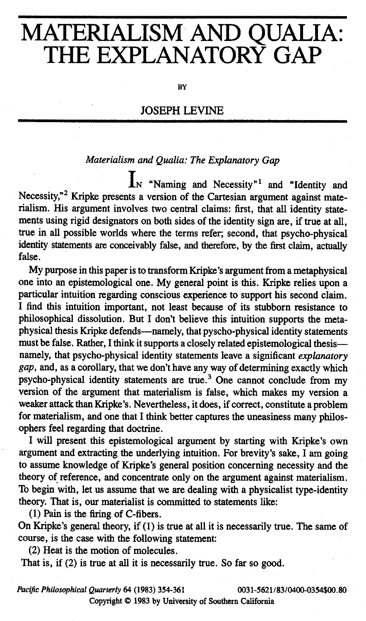# **MATERIALISM AND QUALIA THE EXPLANATORY GAP**

BY

## JOSEPH LEVINE

### *Materialism and Qualia: The Explanatory Gap*

 $\prod_{N}$  "Naming and Necessity"<sup>1</sup> and "Identity and Necessity,"<sup>2</sup> Kripke presents a version of the Cartesian argument against materialism. His argument involves two central claims: first, that all identity statements using rigid designators on both sides of the identity sign are, if true at all, true in all possible worlds where the terms refer; second, that psycho-physical identity statements are conceivably false, and therefore, by the first claim, actually false.

My purpose in this paper is to transform Kripke's argument from a metaphysical one into an epistemological one. My general point is this. Kripke relies upon a particular intuition regarding conscious experience to support his second claim. I find this intuition important, not least because of its stubborn resistance to philosophical dissolution. But I don't believe this intuition supports the metaphysical thesis Kripke defends—namely, that pyscho-physical identity statements must be false. Rather, I think it supports a closely related epistemological thesis namely, that psycho-physical identity statements leave a significant *explanatory gap,* and, as a corollary, that we don't have any way of determining exactly which psycho-physical identity statements are true.<sup>3</sup> One cannot conclude from my version of the argument that materialism is false, which makes my version a weaker attack than Kripke's. Nevertheless, it does, if correct, constitute a problem for materialism, and one that I think better captures the uneasiness many philosophers feel regarding that doctrine.

I will present this epistemological argument by starting with Kripke's own argument and extracting the underlying intuition. For brevity's sake, I am going to assume knowledge of Kripke's general position concerning necessity and the theory of reference, and concentrate only on the argument against materialism. To begin with, let us assume that we are dealing with a physicalist type-identity theory. That is, our materialist is committed to statements like:

(1) Pain is the firing of C-fibers.

On Kripke's general theory, if (1) is true at all it is necessarily true. The same of course, is the case with the following statement:

(2) Heat is the motion of molecules.

That is, if (2) is true at all it is necessarily true. So far so good.

*Pacific Philosophical Quarterly* 64 (1983) 354-361 0031-5621/83/0400-0354\$00.80

Copyright © 1983 by University of Southern California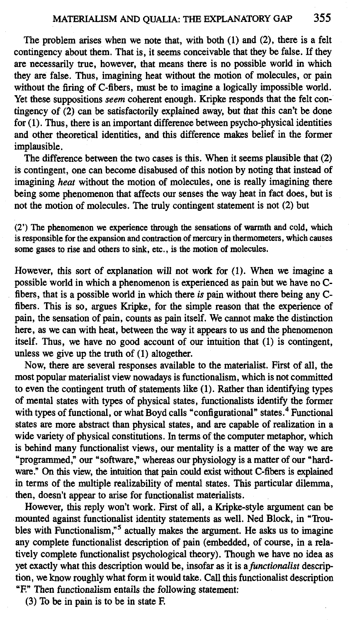The problem arises when we note that, with both (1) and (2), there is a felt contingency about them. That is, it seems conceivable that they be false. If they are necessarily true, however, that means there is no possible world in which they are false. Thus, imagining heat without the motion of molecules, or pain without the firing of C-fibers, must be to imagine a logically impossible world. Yet these suppositions *seem* coherent enough. Kripke responds that the felt contingency of  $(2)$  can be satisfactorily explained away, but that this can't be done for (1). Thus, there is an important difference between psycho-physical identities and other theoretical identities, and this difference makes belief in the former implausible.

The difference between the two cases is this. When it seems plausible that (2) is contingent, one can become disabused of this notion by noting that instead of imagining *heat* without the motion of molecules, one is really imagining there being some phenomenon that affects our senses the way heat in fact does, but is not the motion of molecules. The truly contingent statement is not (2) but

(2') The phenomenon we experience through the sensations of warmth and cold, which is responsible for the expansion and contraction of mercury in thermometers, which causes some gases to rise and others to sink, etc., is the motion of molecules.

However, this sort of explanation will not work for (1). When we imagine a possible world in which a phenomenon is experienced as pain but we have no Cfibers, that is a possible world in which there *is* pain without there being any Cfibers. This is so, argues Kripke, for the simple reason that the experience of pain, the sensation of pain, counts as pain itself. We cannot make the distinction here, as we can with heat, between the way it appears to us and the phenomenon itself. Thus, we have no good account of our intuition that (1) is contingent, unless we give up the truth of (1) altogether.

Now, there are several responses available to the materialist. First of all, the most popular materialist view nowadays is functionalism, which is not committed to even the contingent truth of statements like (1). Rather than identifying types of mental states with types of physical states, functionalists identify the former with types of functional, or what Boyd calls "configurational" states.<sup>4</sup> Functional states are more abstract than physical states, and are capable of realization in a wide variety of physical constitutions. In terms of the computer metaphor, which is behind many functionalist views, our mentality is a matter of the way we are "programmed," our "software," whereas our physiology is a matter of our "hardware." On this view, the intuition that pain could exist without C-fibers is explained in terms of the multiple realizability of mental states. This particular dilemma, then, doesn't appear to arise for functionalist materialists.

However, this reply won't work. First of all, a Kripke-style argument can be mounted against functionalist identity statements as well. Ned Block, in "Troubles with Functionalism,"<sup>5</sup> actually makes the argument. He asks us to imagine any complete functionalist description of pain (embedded, of course, in a relatively complete functionalist psychological theory). Though we have no idea as yet exactly what this description would be, insofar as it is a *functionalist* description, we know roughly what form it would take. Call this functionalist description "F." Then functionalism entails the following statement:

(3) To be in pain is to be in state F.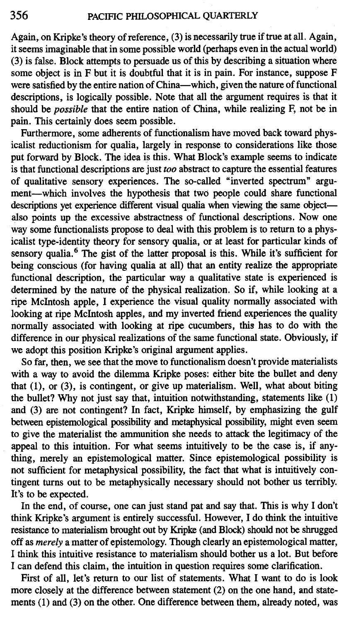Again, on Kripke's theory of reference, (3) is necessarily true if true at all. Again, it seems imaginable that in some possible world (perhaps even in the actual world) (3) is false. Block attempts to persuade us of this by describing a situation where some object is in F but it is doubtful that it is in pain. For instance, suppose F were satisfied by the entire nation of China—which, given the nature of functional descriptions, is logically possible. Note that all the argument requires is that it should be *possible* that the entire nation of China, while realizing F, not be in pain. This certainly does seem possible.

Furthermore, some adherents of functionalism have moved back toward physicalist reductionism for qualia, largely in response to considerations like those put forward by Block. The idea is this. What Block's example seems to indicate is that functional descriptions are just *too* abstract to capture the essential features of qualitative sensory experiences. The so-called "inverted spectrum" argument—which involves the hypothesis that two people could share functional descriptions yet experience different visual qualia when viewing the same object also points up the excessive abstractness of functional descriptions. Now one way some functionalists propose to deal with this problem is to return to a physicalist type-identity theory for sensory qualia, or at least for particular kinds of sensory qualia.<sup>6</sup> The gist of the latter proposal is this. While it's sufficient for being conscious (for having qualia at all) that an entity realize the appropriate functional description, the particular way a qualitative state is experienced is determined by the nature of the physical realization. So if, while looking at a ripe McIntosh apple, I experience the visual quality normally associated with looking at ripe McIntosh apples, and my inverted friend experiences the quality normally associated with looking at ripe cucumbers, this has to do with the difference in our physical realizations of the same functional state. Obviously, if we adopt this position Kripke's original argument applies.

So far, then, we see that the move to functionalism doesn't provide materialists with a way to avoid the dilemma Kripke poses: either bite the bullet and deny that (1), or (3), is contingent, or give up materialism. Well, what about biting the bullet? Why not just say that, intuition notwithstanding, statements like (1) and (3) are not contingent? In fact, Kripke himself, by emphasizing the gulf between epistemological possibility and metaphysical possibility, might even seem to give the materialist the ammunition she needs to attack the legitimacy of the appeal to this intuition. For what seems intuitively to be the case is, if anything, merely an epistemological matter. Since epistemological possibility is not sufficient for metaphysical possibility, the fact that what is intuitively contingent turns out to be metaphysically necessary should not bother us terribly. It's to be expected.

In the end, of course, one can just stand pat and say that. This is why I don't think Kripke's argument is entirely successful. However, I do think the intuitive resistance to materialism brought out by Kripke (and Block) should not be shrugged off as *merely* a matter of epistemology. Though clearly an epistemological matter, I think this intuitive resistance to materialism should bother us a lot. But before I can defend this claim, the intuition in question requires some clarification.

First of all, let's return to our list of statements. What I want to do is look more closely at the difference between statement (2) on the one hand, and statements (1) and (3) on the other. One difference between them, already noted, was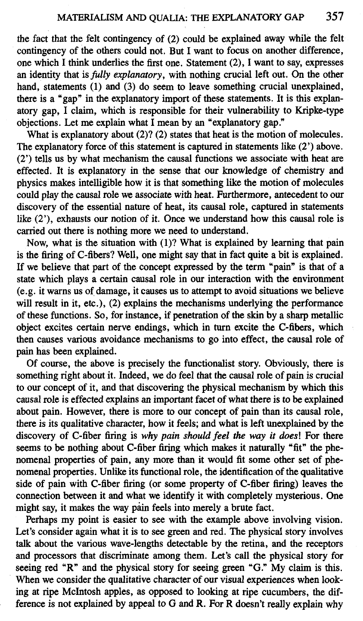the fact that the felt contingency of (2) could be explained away while the felt contingency of the others could not. But I want to focus on another difference, one which I think underlies the first one. Statement (2), I want to say, expresses an identity that is *fully explanatory,* with nothing crucial left out. On the other hand, statements (1) and (3) do seem to leave something crucial unexplained, there is a "gap" in the explanatory import of these statements. It is this explanatory gap, I claim, which is responsible for their vulnerability to Kripke-type objections. Let me explain what I mean by an "explanatory gap."

What is explanatory about  $(2)$ ?  $(2)$  states that heat is the motion of molecules. The explanatory force of this statement is captured in statements like (2') above. (2') tells us by what mechanism the causal functions we associate with heat are effected. It is explanatory in the sense that our knowledge of chemistry and physics makes intelligible how it is that something like the motion of molecules could play the causal role we associate with heat. Furthermore, antecedent to our discovery of the essential nature of heat, its causal role, captured in statements like (2'), exhausts our notion of it. Once we understand how this causal role is carried out there is nothing more we need to understand.

Now, what is the situation with (1)? What is explained by learning that pain is the firing of C-fibers? Well, one might say that in fact quite a bit is explained. If we believe that part of the concept expressed by the term "pain" is that of a state which plays a certain causal role in our interaction with the environment (e.g. it warns us of damage, it causes us to attempt to avoid situations we believe will result in it, etc.), (2) explains the mechanisms underlying the performance of these functions. So, for instance, if penetration of the skin by a sharp metallic object excites certain nerve endings, which in turn excite the C-fibers, which then causes various avoidance mechanisms to go into effect, the causal role of pain has been explained.

Of course, the above is precisely the functionalist story. Obviously, there is something right about it. Indeed, we do feel that the causal role of pain is crucial to our concept of it, and that discovering the physical mechanism by which this causal role is effected explains an important facet of what there is to be explained about pain. However, there is more to our concept of pain than its causal role, there is its qualitative character, how it feels; and what is left unexplained by the discovery of C-fiber firing is *why pain should feel the way it doesl* For there seems to be nothing about C-fiber firing which makes it naturally "fit" the phenomenal properties of pain, any more than it would fit some other set of phenomenal properties. Unlike its functional role, the identification of the qualitative side of pain with C-fiber firing (or some property of C-fiber firing) leaves the connection between it and what we identify it with completely mysterious. One might say, it makes the way pain feels into merely a brute fact.

Perhaps my point is easier to see with the example above involving vision. Let's consider again what it is to see green and red. The physical story involves talk about the various wave-lengths detectable by the retina, and the receptors and processors that discriminate among them. Let's call the physical story for seeing red "R" and the physical story for seeing green "G." My claim is this. When we consider the qualitative character of our visual experiences when looking at ripe McIntosh apples, as opposed to looking at ripe cucumbers, the difference is not explained by appeal to G and R. For R doesn't really explain why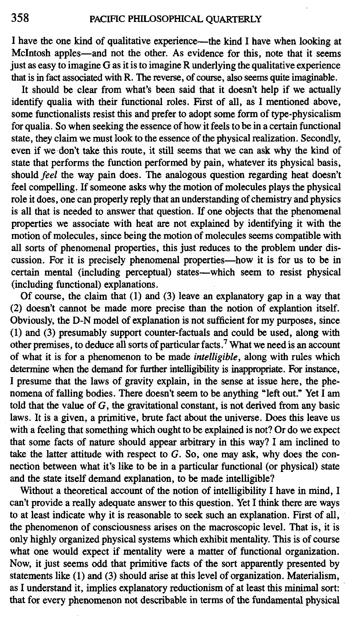I have the one kind of qualitative experience—the kind I have when looking at McIntosh apples—and not the other. As evidence for this, note that it seems just as easy to imagine G as it is to imagine R underlying the qualitative experience that is in fact associated with R. The reverse, of course, also seems quite imaginable.

It should be clear from what's been said that it doesn't help if we actually identify qualia with their functional roles. First of all, as I mentioned above, some functionalists resist this and prefer to adopt some form of type-physicalism for qualia. So when seeking the essence of how it feels to be in a certain functional state, they claim we must look to the essence of the physical realization. Secondly, even if we don't take this route, it still seems that we can ask why the kind of state that performs the function performed by pain, whatever its physical basis, should *feel* the way pain does. The analogous question regarding heat doesn't feel compelling. If someone asks why the motion of molecules plays the physical role it does, one can properly reply that an understanding of chemistry and physics is all that is needed to answer that question. If one objects that the phenomenal properties we associate with heat are not explained by identifying it with the motion of molecules, since being the motion of molecules seems compatible with all sorts of phenomenal properties, this just reduces to the problem under discussion. For it is precisely phenomenal properties—how it is for us to be in certain mental (including perceptual) states—which seem to resist physical (including functional) explanations.

Of course, the claim that (1) and (3) leave an explanatory gap in a way that (2) doesn't cannot be made more precise than the notion of explantion itself. Obviously, the D-N model of explanation is not sufficient for my purposes, since (1) and (3) presumably support counter-factuals and could be used, along with other premises, to deduce all sorts of particular facts.7 What we need is an account of what it is for a phenomenon to be made *intelligible,* along with rules which determine when the demand for further intelligibility is inappropriate. For instance, I presume that the laws of gravity explain, in the sense at issue here, the phenomena of falling bodies. There doesn't seem to be anything "left out." Yet I am told that the value of  $G$ , the gravitational constant, is not derived from any basic laws. It is a given, a primitive, brute fact about the universe. Does this leave us with a feeling that something which ought to be explained is not? Or do we expect that some facts of nature should appear arbitrary in this way? I am inclined to take the latter attitude with respect to  $G$ . So, one may ask, why does the connection between what it's like to be in a particular functional (or physical) state and the state itself demand explanation, to be made intelligible?

Without a theoretical account of the notion of intelligibility I have in mind, I can't provide a really adequate answer to this question. Yet I think there are ways to at least indicate why it is reasonable to seek such an explanation. First of all, the phenomenon of consciousness arises on the macroscopic level. That is, it is only highly organized physical systems which exhibit mentality. This is of course what one would expect if mentality were a matter of functional organization. Now, it just seems odd that primitive facts of the sort apparently presented by statements like (1) and (3) should arise at this level of organization. Materialism, as I understand it, implies explanatory reductionism of at least this minimal sort: that for every phenomenon not describable in terms of the fundamental physical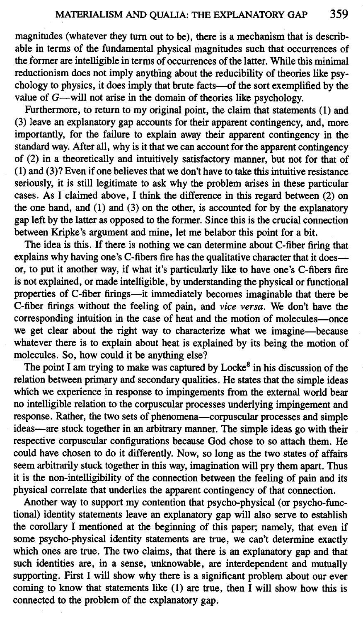magnitudes (whatever they turn out to be), there is a mechanism that is describable in terms of the fundamental physical magnitudes such that occurrences of the former are intelligible in terms of occurrences of the latter. While this minimal reductionism does not imply anything about the reducibility of theories like psychology to physics, it does imply that brute facts—of the sort exemplified by the value of *G*—will not arise in the domain of theories like psychology.

Furthermore, to return to my original point, the claim that statements (1) and (3) leave an explanatory gap accounts for their apparent contingency, and, more importantly, for the failure to explain away their apparent contingency in the standard way. After all, why is it that we can account for the apparent contingency of (2) in a theoretically and intuitively satisfactory manner, but not for that of (1) and (3)? Even if one believes that we don't have to take this intuitive resistance seriously, it is still legitimate to ask why the problem arises in these particular cases. As I claimed above, I think the difference in this regard between (2) on the one hand, and (1) and (3) on the other, is accounted for by the explanatory gap left by the latter as opposed to the former. Since this is the crucial connection between Kripke's argument and mine, let me belabor this point for a bit.

The idea is this. If there is nothing we can determine about C-fiber firing that explains why having one's C-fibers fire has the qualitative character that it does or, to put it another way, if what it's particularly like to have one's C-fibers fire is not explained, or made intelligible, by understanding the physical or functional properties of C-fiber firings—it immediately becomes imaginable that there be C-fiber firings without the feeling of pain, and *vice versa.* We don't have the corresponding intuition in the case of heat and the motion of molecules—once we get clear about the right way to characterize what we imagine—because whatever there is to explain about heat is explained by its being the motion of molecules. So, how could it be anything else?

The point I am trying to make was captured by  $Locke<sup>8</sup>$  in his discussion of the relation between primary and secondary qualities. He states that the simple ideas which we experience in response to impingements from the external world bear no intelligible relation to the corpuscular processes underlying impingement and response. Rather, the two sets of phenomena—corpuscular processes and simple ideas—are stuck together in an arbitrary manner. The simple ideas go with their respective corpuscular configurations because God chose to so attach them. He could have chosen to do it differently. Now, so long as the two states of affairs seem arbitrarily stuck together in this way, imagination will pry them apart. Thus it is the non-intelligibility of the connection between the feeling of pain and its physical correlate that underlies the apparent contingency of that connection.

Another way to support my contention that psycho-physical (or psycho-functional) identity statements leave an explanatory gap will also serve to establish the corollary I mentioned at the beginning of this paper; namely, that even if some psycho-physical identity statements are true, we can't determine exactly which ones are true. The two claims, that there is an explanatory gap and that such identities are, in a sense, unknowable, are interdependent and mutually supporting. First I will show why there is a significant problem about our ever coming to know that statements like  $(1)$  are true, then I will show how this is connected to the problem of the explanatory gap.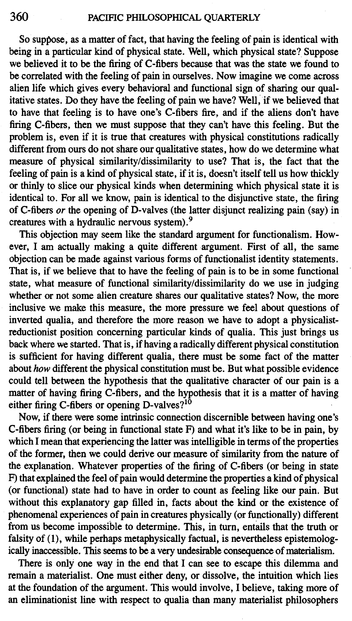### **360** PACIFIC PHILOSOPHICAL QUARTERLY

So suppose, as a matter of fact, that having the feeling of pain is identical with being in a particular kind of physical state. Well, which physical state? Suppose we believed it to be the firing of C-fibers because that was the state we found to be correlated with the feeling of pain in ourselves. Now imagine we come across alien life which gives every behavioral and functional sign of sharing our qualitative states. Do they have the feeling of pain we have? Well, if we believed that to have that feeling is to have one's C-fibers fire, and if the aliens don't have firing C-fibers, then we must suppose that they can't have this feeling. But the problem is, even if it is true that creatures with physical constitutions radically different from ours do not share our qualitative states, how do we determine what measure of physical similarity/dissimilarity to use? That is, the fact that the feeling of pain is a kind of physical state, if it is, doesn't itself tell us how thickly or thinly to slice our physical kinds when determining which physical state it is identical to. For all we know, pain is identical to the disjunctive state, the firing of C-fibers *or* the opening of D-valves (the latter disjunct realizing pain (say) in creatures with a hydraulic nervous system).9

This objection may seem like the standard argument for functionalism. However, I am actually making a quite different argument. First of all, the same objection can be made against various forms of functionalist identity statements. That is, if we believe that to have the feeling of pain is to be in some functional state, what measure of functional similarity/dissimilarity do we use in judging whether or not some alien creature shares our qualitative states? Now, the more inclusive we make this measure, the more pressure we feel about questions of inverted qualia, and therefore the more reason we have to adopt a physicalistreductionist position concerning particular kinds of qualia. This just brings us back where we started. That is, if having a radically different physical constitution is sufficient for having different qualia, there must be some fact of the matter about *how* different the physical constitution must be. But what possible evidence could tell between the hypothesis that the qualitative character of our pain is a matter of having firing C-fibers, and the hypothesis that it is a matter of having either firing C-fibers or opening D-valves?<sup>10</sup>

Now, if there Were some intrinsic connection discernible between having one's C-fibers firing (or being in functional state F) and what it's like to be in pain, by which I mean that experiencing the latter was intelligible in terms of the properties of the former, then we could derive our measure of similarity from the nature of the explanation. Whatever properties of the firing of C-fibers (or being in state F) that explained the feel of pain would determine the properties a kind of physical (or functional) state had to have in order to count as feeling like our pain. But without this explanatory gap filled in, facts about the kind or the existence of phenomenal experiences of pain in creatures physically (or functionally) different from us become impossible to determine. This, in turn, entails that the truth or falsity of (1), while perhaps metaphysically factual, is nevertheless epistemologically inaccessible. This seems to be a very undesirable consequence of materialism.

There is only one way in the end that I can see to escape this dilemma and remain a materialist. One must either deny, or dissolve, the intuition which lies at the foundation of the argument. This would involve, I believe, taking more of an eliminationist line with respect to qualia than many materialist philosophers